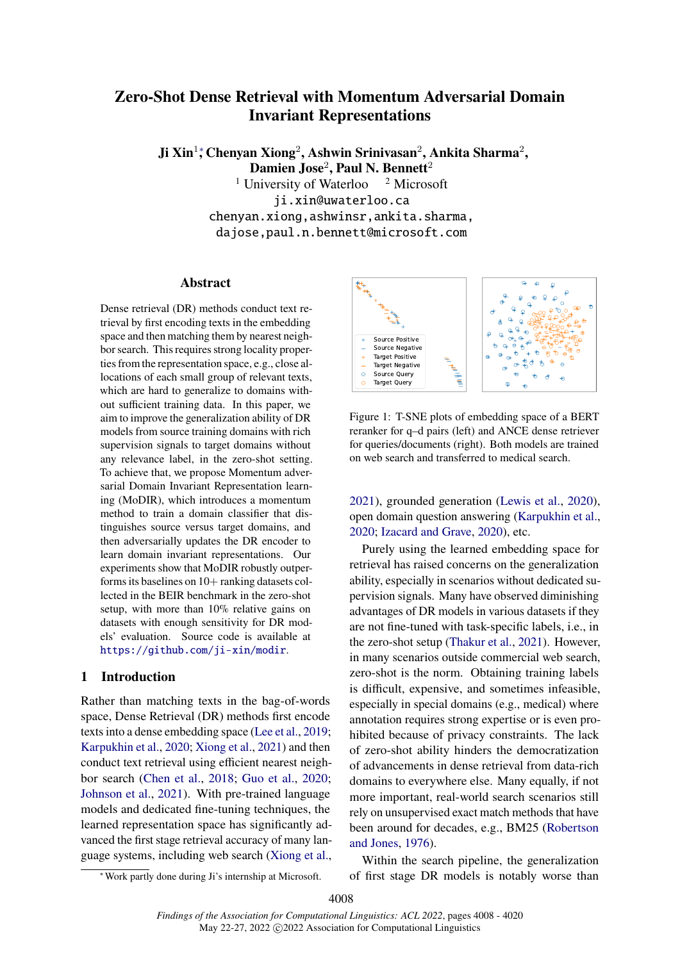# <span id="page-0-0"></span>**Zero-Shot Dense Retrieval with Momentum Adversarial Domain Invariant Representations**

**Ji Xin**<sup>1</sup><sup>∗</sup> **[,](#page-0-0) Chenyan Xiong**<sup>2</sup> **, Ashwin Srinivasan**<sup>2</sup> **, Ankita Sharma**<sup>2</sup> **, Damien Jose**<sup>2</sup> **, Paul N. Bennett**<sup>2</sup> <sup>1</sup> University of Waterloo  $\frac{2 \text{ Microsoft}}{}$ ji.xin@uwaterloo.ca chenyan.xiong,ashwinsr,ankita.sharma, dajose,paul.n.bennett@microsoft.com

### **Abstract**

Dense retrieval (DR) methods conduct text retrieval by first encoding texts in the embedding space and then matching them by nearest neighbor search. This requires strong locality properties from the representation space, e.g., close allocations of each small group of relevant texts, which are hard to generalize to domains without sufficient training data. In this paper, we aim to improve the generalization ability of DR models from source training domains with rich supervision signals to target domains without any relevance label, in the zero-shot setting. To achieve that, we propose Momentum adversarial Domain Invariant Representation learning (MoDIR), which introduces a momentum method to train a domain classifier that distinguishes source versus target domains, and then adversarially updates the DR encoder to learn domain invariant representations. Our experiments show that MoDIR robustly outperforms its baselines on  $10+$  ranking datasets collected in the BEIR benchmark in the zero-shot setup, with more than 10% relative gains on datasets with enough sensitivity for DR models' evaluation. Source code is available at <https://github.com/ji-xin/modir>.

### **1 Introduction**

Rather than matching texts in the bag-of-words space, Dense Retrieval (DR) methods first encode texts into a dense embedding space [\(Lee et al.,](#page-9-0) [2019;](#page-9-0) [Karpukhin et al.,](#page-9-1) [2020;](#page-9-1) [Xiong et al.,](#page-11-0) [2021\)](#page-11-0) and then conduct text retrieval using efficient nearest neighbor search [\(Chen et al.,](#page-8-0) [2018;](#page-8-0) [Guo et al.,](#page-9-2) [2020;](#page-9-2) [Johnson et al.,](#page-9-3) [2021\)](#page-9-3). With pre-trained language models and dedicated fine-tuning techniques, the learned representation space has significantly advanced the first stage retrieval accuracy of many language systems, including web search [\(Xiong et al.,](#page-11-0)

<span id="page-0-1"></span>

Figure 1: T-SNE plots of embedding space of a BERT reranker for q–d pairs (left) and ANCE dense retriever for queries/documents (right). Both models are trained on web search and transferred to medical search.

[2021\)](#page-11-0), grounded generation [\(Lewis et al.,](#page-9-4) [2020\)](#page-9-4), open domain question answering [\(Karpukhin et al.,](#page-9-1) [2020;](#page-9-1) [Izacard and Grave,](#page-9-5) [2020\)](#page-9-5), etc.

Purely using the learned embedding space for retrieval has raised concerns on the generalization ability, especially in scenarios without dedicated supervision signals. Many have observed diminishing advantages of DR models in various datasets if they are not fine-tuned with task-specific labels, i.e., in the zero-shot setup [\(Thakur et al.,](#page-10-0) [2021\)](#page-10-0). However, in many scenarios outside commercial web search, zero-shot is the norm. Obtaining training labels is difficult, expensive, and sometimes infeasible, especially in special domains (e.g., medical) where annotation requires strong expertise or is even prohibited because of privacy constraints. The lack of zero-shot ability hinders the democratization of advancements in dense retrieval from data-rich domains to everywhere else. Many equally, if not more important, real-world search scenarios still rely on unsupervised exact match methods that have been around for decades, e.g., BM25 [\(Robertson](#page-10-1) [and Jones,](#page-10-1) [1976\)](#page-10-1).

Within the search pipeline, the generalization of first stage DR models is notably worse than

<sup>∗</sup>Work partly done during Ji's internship at Microsoft.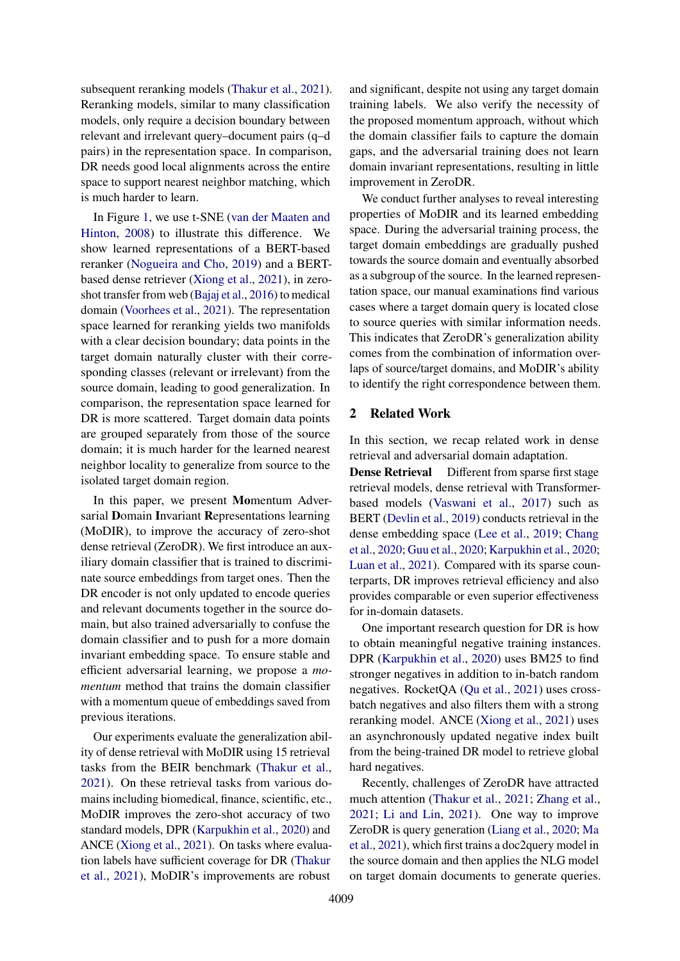subsequent reranking models [\(Thakur et al.,](#page-10-0) [2021\)](#page-10-0). Reranking models, similar to many classification models, only require a decision boundary between relevant and irrelevant query–document pairs (q–d pairs) in the representation space. In comparison, DR needs good local alignments across the entire space to support nearest neighbor matching, which is much harder to learn.

In Figure [1,](#page-0-1) we use t-SNE [\(van der Maaten and](#page-10-2) [Hinton,](#page-10-2) [2008\)](#page-10-2) to illustrate this difference. We show learned representations of a BERT-based reranker [\(Nogueira and Cho,](#page-10-3) [2019\)](#page-10-3) and a BERTbased dense retriever [\(Xiong et al.,](#page-11-0) [2021\)](#page-11-0), in zeroshot transfer from web [\(Bajaj et al.,](#page-8-1) [2016\)](#page-8-1) to medical domain [\(Voorhees et al.,](#page-11-1) [2021\)](#page-11-1). The representation space learned for reranking yields two manifolds with a clear decision boundary; data points in the target domain naturally cluster with their corresponding classes (relevant or irrelevant) from the source domain, leading to good generalization. In comparison, the representation space learned for DR is more scattered. Target domain data points are grouped separately from those of the source domain; it is much harder for the learned nearest neighbor locality to generalize from source to the isolated target domain region.

In this paper, we present **Mo**mentum Adversarial **D**omain **I**nvariant **R**epresentations learning (MoDIR), to improve the accuracy of zero-shot dense retrieval (ZeroDR). We first introduce an auxiliary domain classifier that is trained to discriminate source embeddings from target ones. Then the DR encoder is not only updated to encode queries and relevant documents together in the source domain, but also trained adversarially to confuse the domain classifier and to push for a more domain invariant embedding space. To ensure stable and efficient adversarial learning, we propose a *momentum* method that trains the domain classifier with a momentum queue of embeddings saved from previous iterations.

Our experiments evaluate the generalization ability of dense retrieval with MoDIR using 15 retrieval tasks from the BEIR benchmark [\(Thakur et al.,](#page-10-0) [2021\)](#page-10-0). On these retrieval tasks from various domains including biomedical, finance, scientific, etc., MoDIR improves the zero-shot accuracy of two standard models, DPR [\(Karpukhin et al.,](#page-9-1) [2020\)](#page-9-1) and ANCE [\(Xiong et al.,](#page-11-0) [2021\)](#page-11-0). On tasks where evaluation labels have sufficient coverage for DR [\(Thakur](#page-10-0) [et al.,](#page-10-0) [2021\)](#page-10-0), MoDIR's improvements are robust

and significant, despite not using any target domain training labels. We also verify the necessity of the proposed momentum approach, without which the domain classifier fails to capture the domain gaps, and the adversarial training does not learn domain invariant representations, resulting in little improvement in ZeroDR.

We conduct further analyses to reveal interesting properties of MoDIR and its learned embedding space. During the adversarial training process, the target domain embeddings are gradually pushed towards the source domain and eventually absorbed as a subgroup of the source. In the learned representation space, our manual examinations find various cases where a target domain query is located close to source queries with similar information needs. This indicates that ZeroDR's generalization ability comes from the combination of information overlaps of source/target domains, and MoDIR's ability to identify the right correspondence between them.

### **2 Related Work**

In this section, we recap related work in dense retrieval and adversarial domain adaptation.

**Dense Retrieval** Different from sparse first stage retrieval models, dense retrieval with Transformerbased models [\(Vaswani et al.,](#page-10-4) [2017\)](#page-10-4) such as BERT [\(Devlin et al.,](#page-9-6) [2019\)](#page-9-6) conducts retrieval in the dense embedding space [\(Lee et al.,](#page-9-0) [2019;](#page-9-0) [Chang](#page-8-2) [et al.,](#page-8-2) [2020;](#page-8-2) [Guu et al.,](#page-9-7) [2020;](#page-9-7) [Karpukhin et al.,](#page-9-1) [2020;](#page-9-1) [Luan et al.,](#page-10-5) [2021\)](#page-10-5). Compared with its sparse counterparts, DR improves retrieval efficiency and also provides comparable or even superior effectiveness for in-domain datasets.

One important research question for DR is how to obtain meaningful negative training instances. DPR [\(Karpukhin et al.,](#page-9-1) [2020\)](#page-9-1) uses BM25 to find stronger negatives in addition to in-batch random negatives. RocketQA [\(Qu et al.,](#page-10-6) [2021\)](#page-10-6) uses crossbatch negatives and also filters them with a strong reranking model. ANCE [\(Xiong et al.,](#page-11-0) [2021\)](#page-11-0) uses an asynchronously updated negative index built from the being-trained DR model to retrieve global hard negatives.

Recently, challenges of ZeroDR have attracted much attention [\(Thakur et al.,](#page-10-0) [2021;](#page-10-0) [Zhang et al.,](#page-11-2) [2021;](#page-11-2) [Li and Lin,](#page-9-8) [2021\)](#page-9-8). One way to improve ZeroDR is query generation [\(Liang et al.,](#page-10-7) [2020;](#page-10-7) [Ma](#page-10-8) [et al.,](#page-10-8) [2021\)](#page-10-8), which first trains a doc2query model in the source domain and then applies the NLG model on target domain documents to generate queries.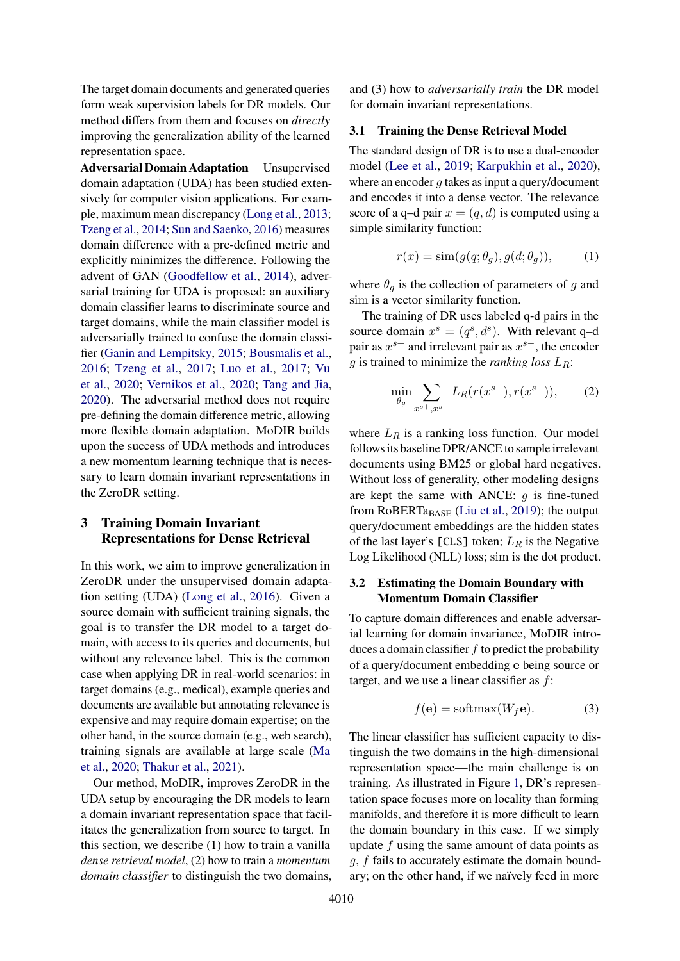The target domain documents and generated queries form weak supervision labels for DR models. Our method differs from them and focuses on *directly* improving the generalization ability of the learned representation space.

**Adversarial Domain Adaptation** Unsupervised domain adaptation (UDA) has been studied extensively for computer vision applications. For example, maximum mean discrepancy [\(Long et al.,](#page-10-9) [2013;](#page-10-9) [Tzeng et al.,](#page-10-10) [2014;](#page-10-10) [Sun and Saenko,](#page-10-11) [2016\)](#page-10-11) measures domain difference with a pre-defined metric and explicitly minimizes the difference. Following the advent of GAN [\(Goodfellow et al.,](#page-9-9) [2014\)](#page-9-9), adversarial training for UDA is proposed: an auxiliary domain classifier learns to discriminate source and target domains, while the main classifier model is adversarially trained to confuse the domain classifier [\(Ganin and Lempitsky,](#page-9-10) [2015;](#page-9-10) [Bousmalis et al.,](#page-8-3) [2016;](#page-8-3) [Tzeng et al.,](#page-10-12) [2017;](#page-10-12) [Luo et al.,](#page-10-13) [2017;](#page-10-13) [Vu](#page-11-3) [et al.,](#page-11-3) [2020;](#page-11-3) [Vernikos et al.,](#page-11-4) [2020;](#page-11-4) [Tang and Jia,](#page-10-14) [2020\)](#page-10-14). The adversarial method does not require pre-defining the domain difference metric, allowing more flexible domain adaptation. MoDIR builds upon the success of UDA methods and introduces a new momentum learning technique that is necessary to learn domain invariant representations in the ZeroDR setting.

### <span id="page-2-1"></span>**3 Training Domain Invariant Representations for Dense Retrieval**

In this work, we aim to improve generalization in ZeroDR under the unsupervised domain adaptation setting (UDA) [\(Long et al.,](#page-10-15) [2016\)](#page-10-15). Given a source domain with sufficient training signals, the goal is to transfer the DR model to a target domain, with access to its queries and documents, but without any relevance label. This is the common case when applying DR in real-world scenarios: in target domains (e.g., medical), example queries and documents are available but annotating relevance is expensive and may require domain expertise; on the other hand, in the source domain (e.g., web search), training signals are available at large scale [\(Ma](#page-10-16) [et al.,](#page-10-16) [2020;](#page-10-16) [Thakur et al.,](#page-10-0) [2021\)](#page-10-0).

Our method, MoDIR, improves ZeroDR in the UDA setup by encouraging the DR models to learn a domain invariant representation space that facilitates the generalization from source to target. In this section, we describe (1) how to train a vanilla *dense retrieval model*, (2) how to train a *momentum domain classifier* to distinguish the two domains, and (3) how to *adversarially train* the DR model for domain invariant representations.

#### **3.1 Training the Dense Retrieval Model**

The standard design of DR is to use a dual-encoder model [\(Lee et al.,](#page-9-0) [2019;](#page-9-0) [Karpukhin et al.,](#page-9-1) [2020\)](#page-9-1), where an encoder  $q$  takes as input a query/document and encodes it into a dense vector. The relevance score of a q-d pair  $x = (q, d)$  is computed using a simple similarity function:

$$
r(x) = \text{sim}(g(q; \theta_g), g(d; \theta_g)), \tag{1}
$$

where  $\theta_g$  is the collection of parameters of g and sim is a vector similarity function.

The training of DR uses labeled q-d pairs in the source domain  $x^s = (q^s, d^s)$ . With relevant q-d pair as  $x^{s+}$  and irrelevant pair as  $x^{s-}$ , the encoder g is trained to minimize the *ranking loss* LR:

<span id="page-2-0"></span>
$$
\min_{\theta_g} \sum_{x^{s+}, x^{s-}} L_R(r(x^{s+}), r(x^{s-})), \qquad (2)
$$

where  $L_R$  is a ranking loss function. Our model follows its baseline DPR/ANCE to sample irrelevant documents using BM25 or global hard negatives. Without loss of generality, other modeling designs are kept the same with ANCE:  $q$  is fine-tuned from  $RoBERTa<sub>BASE</sub>$  [\(Liu et al.,](#page-10-17) [2019\)](#page-10-17); the output query/document embeddings are the hidden states of the last layer's [CLS] token;  $L_R$  is the Negative Log Likelihood (NLL) loss; sim is the dot product.

### <span id="page-2-2"></span>**3.2 Estimating the Domain Boundary with Momentum Domain Classifier**

To capture domain differences and enable adversarial learning for domain invariance, MoDIR introduces a domain classifier  $f$  to predict the probability of a query/document embedding e being source or target, and we use a linear classifier as  $f$ :

$$
f(\mathbf{e}) = \text{softmax}(W_f \mathbf{e}).\tag{3}
$$

The linear classifier has sufficient capacity to distinguish the two domains in the high-dimensional representation space—the main challenge is on training. As illustrated in Figure [1,](#page-0-1) DR's representation space focuses more on locality than forming manifolds, and therefore it is more difficult to learn the domain boundary in this case. If we simply update f using the same amount of data points as g, f fails to accurately estimate the domain boundary; on the other hand, if we naïvely feed in more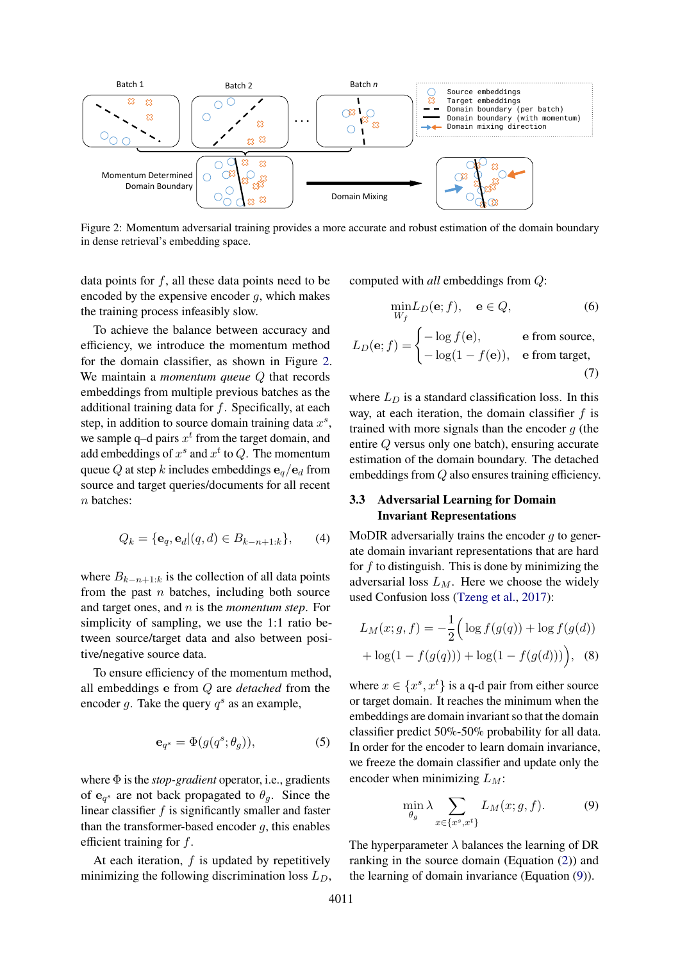<span id="page-3-0"></span>

Figure 2: Momentum adversarial training provides a more accurate and robust estimation of the domain boundary in dense retrieval's embedding space.

data points for  $f$ , all these data points need to be encoded by the expensive encoder  $g$ , which makes the training process infeasibly slow.

To achieve the balance between accuracy and efficiency, we introduce the momentum method for the domain classifier, as shown in Figure [2.](#page-3-0) We maintain a *momentum queue* Q that records embeddings from multiple previous batches as the additional training data for  $f$ . Specifically, at each step, in addition to source domain training data  $x^s$ , we sample q-d pairs  $x^t$  from the target domain, and add embeddings of  $x^s$  and  $x^t$  to  $Q$ . The momentum queue Q at step k includes embeddings  $\mathbf{e}_q/\mathbf{e}_d$  from source and target queries/documents for all recent n batches:

$$
Q_k = \{ \mathbf{e}_q, \mathbf{e}_d | (q, d) \in B_{k-n+1:k} \},\qquad(4)
$$

where  $B_{k-n+1:k}$  is the collection of all data points from the past  $n$  batches, including both source and target ones, and n is the *momentum step*. For simplicity of sampling, we use the 1:1 ratio between source/target data and also between positive/negative source data.

To ensure efficiency of the momentum method, all embeddings e from Q are *detached* from the encoder g. Take the query  $q^s$  as an example,

$$
\mathbf{e}_{q^s} = \Phi(g(q^s; \theta_g)),\tag{5}
$$

where Φ is the *stop-gradient* operator, i.e., gradients of  $\mathbf{e}_{q^s}$  are not back propagated to  $\theta_g$ . Since the linear classifier  $f$  is significantly smaller and faster than the transformer-based encoder  $q$ , this enables efficient training for f.

At each iteration,  $f$  is updated by repetitively minimizing the following discrimination loss  $L_D$ , computed with *all* embeddings from Q:

$$
\min_{W_f} L_D(\mathbf{e}; f), \quad \mathbf{e} \in Q,\tag{6}
$$

$$
L_D(\mathbf{e}; f) = \begin{cases} -\log f(\mathbf{e}), & \text{e from source,} \\ -\log(1 - f(\mathbf{e})), & \text{e from target,} \end{cases}
$$
(7)

where  $L_D$  is a standard classification loss. In this way, at each iteration, the domain classifier  $f$  is trained with more signals than the encoder  $q$  (the entire Q versus only one batch), ensuring accurate estimation of the domain boundary. The detached embeddings from Q also ensures training efficiency.

### **3.3 Adversarial Learning for Domain Invariant Representations**

MoDIR adversarially trains the encoder  $g$  to generate domain invariant representations that are hard for  $f$  to distinguish. This is done by minimizing the adversarial loss  $L_M$ . Here we choose the widely used Confusion loss [\(Tzeng et al.,](#page-10-12) [2017\)](#page-10-12):

$$
L_M(x; g, f) = -\frac{1}{2} \Big( \log f(g(q)) + \log f(g(d)) + \log(1 - f(g(q))) + \log(1 - f(g(d))) \Big), \quad (8)
$$

where  $x \in \{x^s, x^t\}$  is a q-d pair from either source or target domain. It reaches the minimum when the embeddings are domain invariant so that the domain classifier predict 50%-50% probability for all data. In order for the encoder to learn domain invariance, we freeze the domain classifier and update only the encoder when minimizing  $L_M$ :

<span id="page-3-1"></span>
$$
\min_{\theta_g} \lambda \sum_{x \in \{x^s, x^t\}} L_M(x; g, f). \tag{9}
$$

The hyperparameter  $\lambda$  balances the learning of DR ranking in the source domain (Equation [\(2\)](#page-2-0)) and the learning of domain invariance (Equation [\(9\)](#page-3-1)).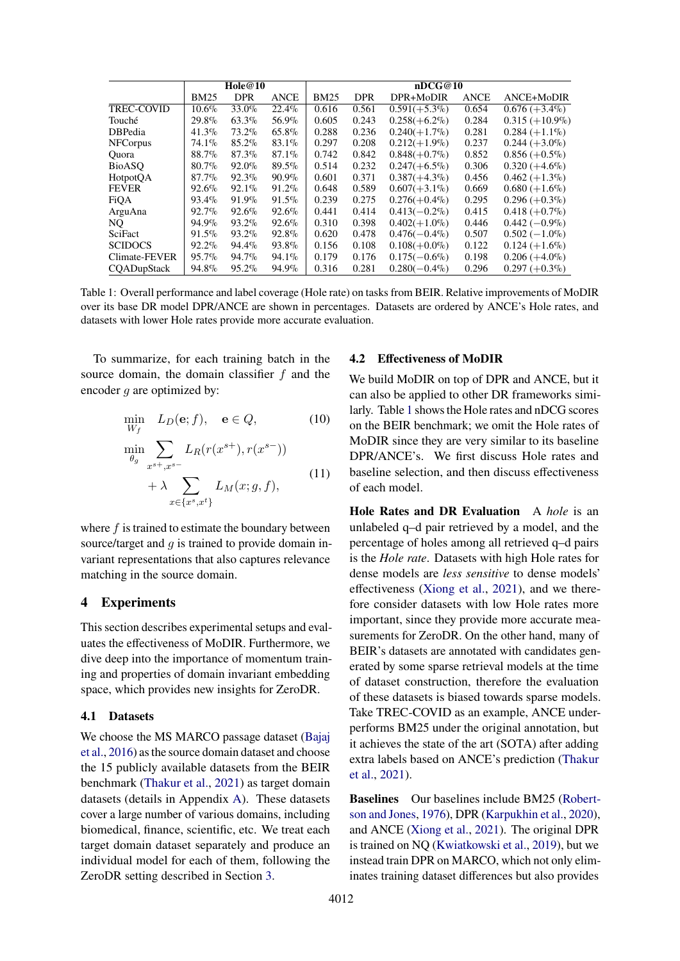<span id="page-4-0"></span>

|                   | Hole@10     |            |             | nDCG@10     |            |                 |             |                   |
|-------------------|-------------|------------|-------------|-------------|------------|-----------------|-------------|-------------------|
|                   | <b>BM25</b> | <b>DPR</b> | <b>ANCE</b> | <b>BM25</b> | <b>DPR</b> | DPR+MoDIR       | <b>ANCE</b> | ANCE+MoDIR        |
| <b>TREC-COVID</b> | $10.6\%$    | 33.0%      | $22.4\%$    | 0.616       | 0.561      | $0.591(+5.3\%)$ | 0.654       | $0.676 (+3.4\%)$  |
| Touché            | 29.8%       | $63.3\%$   | 56.9%       | 0.605       | 0.243      | $0.258(+6.2\%)$ | 0.284       | $0.315 (+10.9\%)$ |
| <b>DBPedia</b>    | $41.3\%$    | $73.2\%$   | 65.8%       | 0.288       | 0.236      | $0.240(+1.7\%)$ | 0.281       | $0.284 (+1.1\%)$  |
| <b>NFC</b> orpus  | $74.1\%$    | 85.2%      | 83.1%       | 0.297       | 0.208      | $0.212(+1.9\%)$ | 0.237       | $0.244 (+3.0\%)$  |
| Ouora             | 88.7%       | 87.3%      | 87.1%       | 0.742       | 0.842      | $0.848(+0.7\%)$ | 0.852       | $0.856 (+0.5\%)$  |
| <b>BioASO</b>     | $80.7\%$    | $92.0\%$   | $89.5\%$    | 0.514       | 0.232      | $0.247(+6.5\%)$ | 0.306       | $0.320 (+4.6\%)$  |
| HotpotQA          | $87.7\%$    | $92.3\%$   | $90.9\%$    | 0.601       | 0.371      | $0.387(+4.3\%)$ | 0.456       | $0.462 (+1.3\%)$  |
| <b>FEVER</b>      | $92.6\%$    | $92.1\%$   | $91.2\%$    | 0.648       | 0.589      | $0.607(+3.1\%)$ | 0.669       | $0.680 (+1.6\%)$  |
| <b>FiOA</b>       | $93.4\%$    | 91.9%      | $91.5\%$    | 0.239       | 0.275      | $0.276(+0.4\%)$ | 0.295       | $0.296 (+0.3\%)$  |
| ArguAna           | $92.7\%$    | $92.6\%$   | $92.6\%$    | 0.441       | 0.414      | $0.413(-0.2\%)$ | 0.415       | $0.418 (+0.7\%)$  |
| NQ.               | $94.9\%$    | 93.2%      | $92.6\%$    | 0.310       | 0.398      | $0.402(+1.0\%)$ | 0.446       | $0.442(-0.9\%)$   |
| SciFact           | $91.5\%$    | 93.2%      | 92.8%       | 0.620       | 0.478      | $0.476(-0.4\%)$ | 0.507       | $0.502(-1.0\%)$   |
| <b>SCIDOCS</b>    | $92.2\%$    | 94.4%      | 93.8%       | 0.156       | 0.108      | $0.108(+0.0\%)$ | 0.122       | $0.124 (+1.6\%)$  |
| Climate-FEVER     | $95.7\%$    | 94.7%      | $94.1\%$    | 0.179       | 0.176      | $0.175(-0.6\%)$ | 0.198       | $0.206 (+4.0\%)$  |
| COADupStack       | 94.8%       | $95.2\%$   | 94.9%       | 0.316       | 0.281      | $0.280(-0.4\%)$ | 0.296       | $0.297 (+0.3\%)$  |

Table 1: Overall performance and label coverage (Hole rate) on tasks from BEIR. Relative improvements of MoDIR over its base DR model DPR/ANCE are shown in percentages. Datasets are ordered by ANCE's Hole rates, and datasets with lower Hole rates provide more accurate evaluation.

To summarize, for each training batch in the source domain, the domain classifier  $f$  and the encoder  $g$  are optimized by:

$$
\min_{W_f} L_D(\mathbf{e}; f), \quad \mathbf{e} \in Q,\tag{10}
$$

$$
\min_{\theta_g} \sum_{x^{s+}, x^{s-}} L_R(r(x^{s+}), r(x^{s-})) + \lambda \sum_{x \in \{x^s, x^t\}} L_M(x; g, f), \tag{11}
$$

where  $f$  is trained to estimate the boundary between source/target and  $q$  is trained to provide domain invariant representations that also captures relevance matching in the source domain.

### **4 Experiments**

This section describes experimental setups and evaluates the effectiveness of MoDIR. Furthermore, we dive deep into the importance of momentum training and properties of domain invariant embedding space, which provides new insights for ZeroDR.

#### **4.1 Datasets**

We choose the MS MARCO passage dataset [\(Bajaj](#page-8-1) [et al.,](#page-8-1) [2016\)](#page-8-1) as the source domain dataset and choose the 15 publicly available datasets from the BEIR benchmark [\(Thakur et al.,](#page-10-0) [2021\)](#page-10-0) as target domain datasets (details in Appendix [A\)](#page-12-0). These datasets cover a large number of various domains, including biomedical, finance, scientific, etc. We treat each target domain dataset separately and produce an individual model for each of them, following the ZeroDR setting described in Section [3.](#page-2-1)

#### **4.2 Effectiveness of MoDIR**

We build MoDIR on top of DPR and ANCE, but it can also be applied to other DR frameworks similarly. Table [1](#page-4-0) shows the Hole rates and nDCG scores on the BEIR benchmark; we omit the Hole rates of MoDIR since they are very similar to its baseline DPR/ANCE's. We first discuss Hole rates and baseline selection, and then discuss effectiveness of each model.

**Hole Rates and DR Evaluation** A *hole* is an unlabeled q–d pair retrieved by a model, and the percentage of holes among all retrieved q–d pairs is the *Hole rate*. Datasets with high Hole rates for dense models are *less sensitive* to dense models' effectiveness [\(Xiong et al.,](#page-11-0) [2021\)](#page-11-0), and we therefore consider datasets with low Hole rates more important, since they provide more accurate measurements for ZeroDR. On the other hand, many of BEIR's datasets are annotated with candidates generated by some sparse retrieval models at the time of dataset construction, therefore the evaluation of these datasets is biased towards sparse models. Take TREC-COVID as an example, ANCE underperforms BM25 under the original annotation, but it achieves the state of the art (SOTA) after adding extra labels based on ANCE's prediction [\(Thakur](#page-10-0) [et al.,](#page-10-0) [2021\)](#page-10-0).

**Baselines** Our baselines include BM25 [\(Robert](#page-10-1)[son and Jones,](#page-10-1) [1976\)](#page-10-1), DPR [\(Karpukhin et al.,](#page-9-1) [2020\)](#page-9-1), and ANCE [\(Xiong et al.,](#page-11-0) [2021\)](#page-11-0). The original DPR is trained on NQ [\(Kwiatkowski et al.,](#page-9-11) [2019\)](#page-9-11), but we instead train DPR on MARCO, which not only eliminates training dataset differences but also provides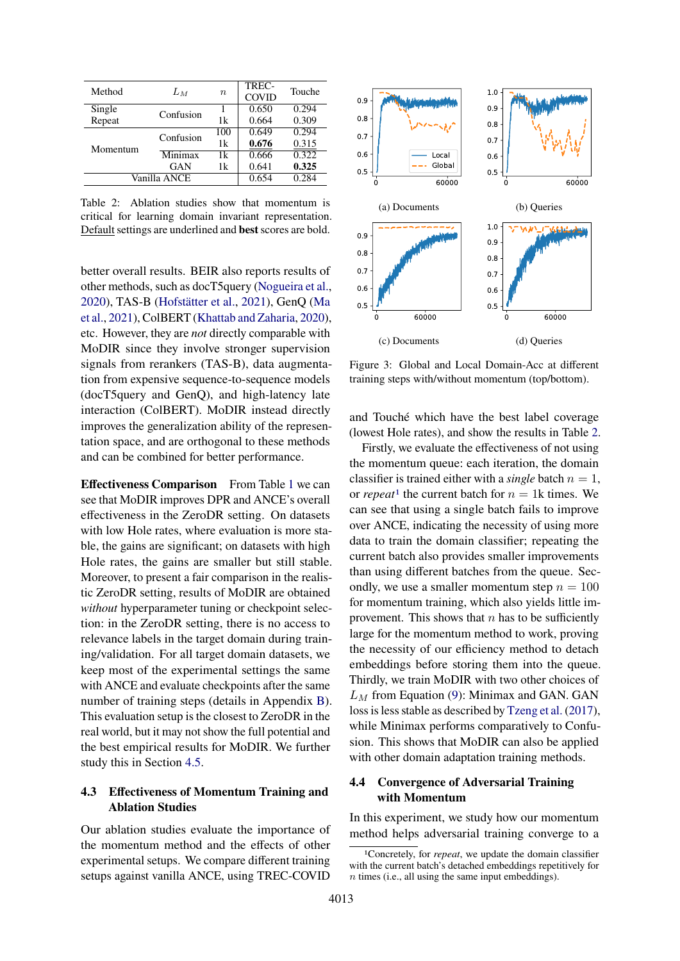<span id="page-5-0"></span>

| Method       | Lм        | $\boldsymbol{n}$ | TREC-<br><b>COVID</b> | Touche |
|--------------|-----------|------------------|-----------------------|--------|
| Single       | Confusion |                  | 0.650                 | 0.294  |
| Repeat       |           | 1k               | 0.664                 | 0.309  |
|              | Confusion | 100              | 0.649                 | 0.294  |
| Momentum     |           | 1k               | 0.676                 | 0.315  |
|              | Minimax   | 1k               | 0.666                 | 0.322  |
|              | GAN       | 1k               | 0.641                 | 0.325  |
| Vanilla ANCE | 0.654     | 0.284            |                       |        |

Table 2: Ablation studies show that momentum is critical for learning domain invariant representation. Default settings are underlined and **best** scores are bold.

better overall results. BEIR also reports results of other methods, such as docT5query [\(Nogueira et al.,](#page-10-18) [2020\)](#page-10-18), TAS-B [\(Hofstätter et al.,](#page-9-12) [2021\)](#page-9-12), GenQ [\(Ma](#page-10-8) [et al.,](#page-10-8) [2021\)](#page-10-8), ColBERT [\(Khattab and Zaharia,](#page-9-13) [2020\)](#page-9-13), etc. However, they are *not* directly comparable with MoDIR since they involve stronger supervision signals from rerankers (TAS-B), data augmentation from expensive sequence-to-sequence models (docT5query and GenQ), and high-latency late interaction (ColBERT). MoDIR instead directly improves the generalization ability of the representation space, and are orthogonal to these methods and can be combined for better performance.

**Effectiveness Comparison** From Table [1](#page-4-0) we can see that MoDIR improves DPR and ANCE's overall effectiveness in the ZeroDR setting. On datasets with low Hole rates, where evaluation is more stable, the gains are significant; on datasets with high Hole rates, the gains are smaller but still stable. Moreover, to present a fair comparison in the realistic ZeroDR setting, results of MoDIR are obtained *without* hyperparameter tuning or checkpoint selection: in the ZeroDR setting, there is no access to relevance labels in the target domain during training/validation. For all target domain datasets, we keep most of the experimental settings the same with ANCE and evaluate checkpoints after the same number of training steps (details in Appendix [B\)](#page-12-1). This evaluation setup is the closest to ZeroDR in the real world, but it may not show the full potential and the best empirical results for MoDIR. We further study this in Section [4.5.](#page-6-0)

### <span id="page-5-3"></span>**4.3 Effectiveness of Momentum Training and Ablation Studies**

Our ablation studies evaluate the importance of the momentum method and the effects of other experimental setups. We compare different training setups against vanilla ANCE, using TREC-COVID

<span id="page-5-2"></span>

Figure 3: Global and Local Domain-Acc at different training steps with/without momentum (top/bottom).

and Touché which have the best label coverage (lowest Hole rates), and show the results in Table [2.](#page-5-0)

Firstly, we evaluate the effectiveness of not using the momentum queue: each iteration, the domain classifier is trained either with a *single* batch  $n = 1$ , or *repeat*<sup>[1](#page-5-1)</sup> the current batch for  $n = 1$ k times. We can see that using a single batch fails to improve over ANCE, indicating the necessity of using more data to train the domain classifier; repeating the current batch also provides smaller improvements than using different batches from the queue. Secondly, we use a smaller momentum step  $n = 100$ for momentum training, which also yields little improvement. This shows that  $n$  has to be sufficiently large for the momentum method to work, proving the necessity of our efficiency method to detach embeddings before storing them into the queue. Thirdly, we train MoDIR with two other choices of  $L_M$  from Equation [\(9\)](#page-3-1): Minimax and GAN. GAN loss is less stable as described by [Tzeng et al.](#page-10-12) [\(2017\)](#page-10-12), while Minimax performs comparatively to Confusion. This shows that MoDIR can also be applied with other domain adaptation training methods.

### **4.4 Convergence of Adversarial Training with Momentum**

In this experiment, we study how our momentum method helps adversarial training converge to a

<span id="page-5-1"></span><sup>1</sup>Concretely, for *repeat*, we update the domain classifier with the current batch's detached embeddings repetitively for n times (i.e., all using the same input embeddings).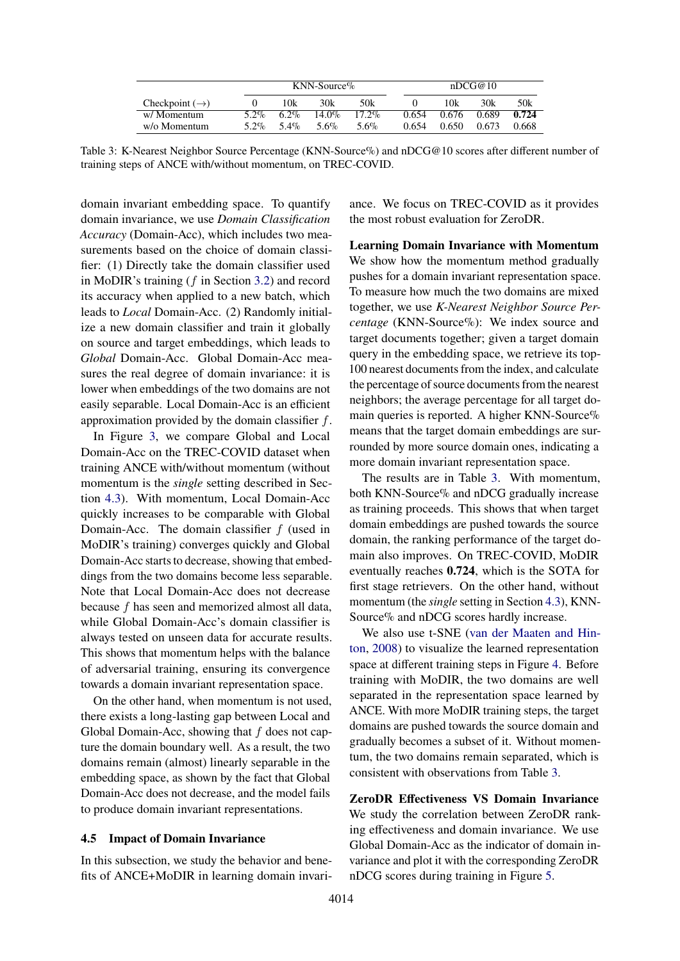<span id="page-6-1"></span>

|                            | $KNN-Source%$ |      |          |          |       | nDCG@10 |       |       |
|----------------------------|---------------|------|----------|----------|-------|---------|-------|-------|
| Checkpoint $(\rightarrow)$ |               | 10k  | 30k      | 50k      |       | 10k     | 30k   | 50k   |
| w/ Momentum                | $5.2\%$       | 6.2% | $14.0\%$ | $17.2\%$ | 0.654 | 0.676   | 0.689 | 0.724 |
| w/o Momentum               | 5.2%          | 5.4% | 5.6%     | 5.6%     | 0.654 | 0.650   | 0.673 | 0.668 |

Table 3: K-Nearest Neighbor Source Percentage (KNN-Source%) and nDCG@10 scores after different number of training steps of ANCE with/without momentum, on TREC-COVID.

domain invariant embedding space. To quantify domain invariance, we use *Domain Classification Accuracy* (Domain-Acc), which includes two measurements based on the choice of domain classifier: (1) Directly take the domain classifier used in MoDIR's training (f in Section [3.2\)](#page-2-2) and record its accuracy when applied to a new batch, which leads to *Local* Domain-Acc. (2) Randomly initialize a new domain classifier and train it globally on source and target embeddings, which leads to *Global* Domain-Acc. Global Domain-Acc measures the real degree of domain invariance: it is lower when embeddings of the two domains are not easily separable. Local Domain-Acc is an efficient approximation provided by the domain classifier  $f$ .

In Figure [3,](#page-5-2) we compare Global and Local Domain-Acc on the TREC-COVID dataset when training ANCE with/without momentum (without momentum is the *single* setting described in Section [4.3\)](#page-5-3). With momentum, Local Domain-Acc quickly increases to be comparable with Global Domain-Acc. The domain classifier  $f$  (used in MoDIR's training) converges quickly and Global Domain-Acc starts to decrease, showing that embeddings from the two domains become less separable. Note that Local Domain-Acc does not decrease because f has seen and memorized almost all data, while Global Domain-Acc's domain classifier is always tested on unseen data for accurate results. This shows that momentum helps with the balance of adversarial training, ensuring its convergence towards a domain invariant representation space.

On the other hand, when momentum is not used, there exists a long-lasting gap between Local and Global Domain-Acc, showing that  $f$  does not capture the domain boundary well. As a result, the two domains remain (almost) linearly separable in the embedding space, as shown by the fact that Global Domain-Acc does not decrease, and the model fails to produce domain invariant representations.

#### <span id="page-6-0"></span>**4.5 Impact of Domain Invariance**

In this subsection, we study the behavior and benefits of ANCE+MoDIR in learning domain invariance. We focus on TREC-COVID as it provides the most robust evaluation for ZeroDR.

**Learning Domain Invariance with Momentum** We show how the momentum method gradually pushes for a domain invariant representation space. To measure how much the two domains are mixed together, we use *K-Nearest Neighbor Source Percentage* (KNN-Source%): We index source and target documents together; given a target domain query in the embedding space, we retrieve its top-100 nearest documents from the index, and calculate the percentage of source documents from the nearest neighbors; the average percentage for all target domain queries is reported. A higher KNN-Source% means that the target domain embeddings are surrounded by more source domain ones, indicating a more domain invariant representation space.

The results are in Table [3.](#page-6-1) With momentum, both KNN-Source% and nDCG gradually increase as training proceeds. This shows that when target domain embeddings are pushed towards the source domain, the ranking performance of the target domain also improves. On TREC-COVID, MoDIR eventually reaches **0.724**, which is the SOTA for first stage retrievers. On the other hand, without momentum (the *single* setting in Section [4.3\)](#page-5-3), KNN-Source% and nDCG scores hardly increase.

We also use t-SNE [\(van der Maaten and Hin](#page-10-2)[ton,](#page-10-2) [2008\)](#page-10-2) to visualize the learned representation space at different training steps in Figure [4.](#page-7-0) Before training with MoDIR, the two domains are well separated in the representation space learned by ANCE. With more MoDIR training steps, the target domains are pushed towards the source domain and gradually becomes a subset of it. Without momentum, the two domains remain separated, which is consistent with observations from Table [3.](#page-6-1)

**ZeroDR Effectiveness VS Domain Invariance** We study the correlation between ZeroDR ranking effectiveness and domain invariance. We use Global Domain-Acc as the indicator of domain invariance and plot it with the corresponding ZeroDR nDCG scores during training in Figure [5.](#page-7-1)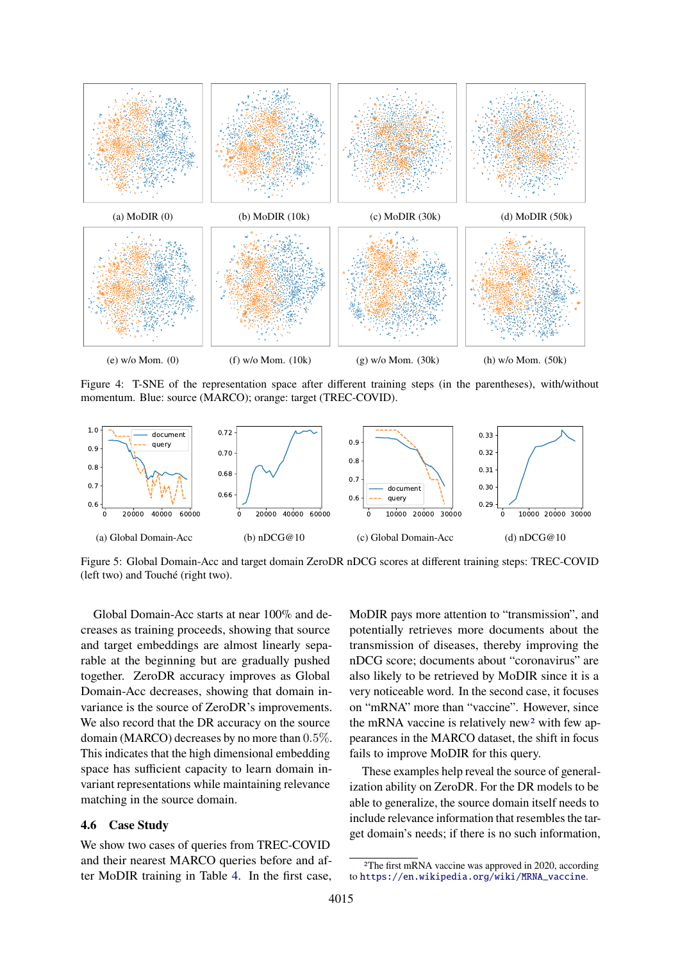<span id="page-7-0"></span>

Figure 4: T-SNE of the representation space after different training steps (in the parentheses), with/without momentum. Blue: source (MARCO); orange: target (TREC-COVID).

<span id="page-7-1"></span>

Figure 5: Global Domain-Acc and target domain ZeroDR nDCG scores at different training steps: TREC-COVID (left two) and Touché (right two).

Global Domain-Acc starts at near 100% and decreases as training proceeds, showing that source and target embeddings are almost linearly separable at the beginning but are gradually pushed together. ZeroDR accuracy improves as Global Domain-Acc decreases, showing that domain invariance is the source of ZeroDR's improvements. We also record that the DR accuracy on the source domain (MARCO) decreases by no more than 0.5%. This indicates that the high dimensional embedding space has sufficient capacity to learn domain invariant representations while maintaining relevance matching in the source domain.

#### **4.6 Case Study**

We show two cases of queries from TREC-COVID and their nearest MARCO queries before and after MoDIR training in Table [4.](#page-8-4) In the first case, MoDIR pays more attention to "transmission", and potentially retrieves more documents about the transmission of diseases, thereby improving the nDCG score; documents about "coronavirus" are also likely to be retrieved by MoDIR since it is a very noticeable word. In the second case, it focuses on "mRNA" more than "vaccine". However, since the mRNA vaccine is relatively new<sup>[2](#page-7-2)</sup> with few appearances in the MARCO dataset, the shift in focus fails to improve MoDIR for this query.

These examples help reveal the source of generalization ability on ZeroDR. For the DR models to be able to generalize, the source domain itself needs to include relevance information that resembles the target domain's needs; if there is no such information,

<span id="page-7-2"></span><sup>2</sup>The first mRNA vaccine was approved in 2020, according to [https://en.wikipedia.org/wiki/MRNA\\_vaccine](https://en.wikipedia.org/wiki/MRNA_vaccine).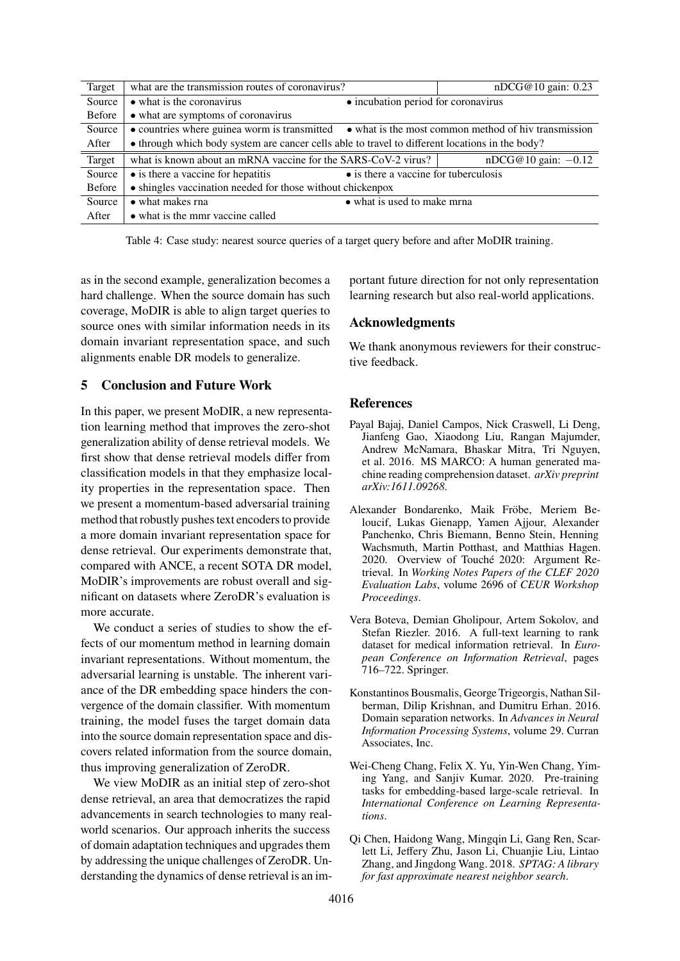<span id="page-8-4"></span>

| Target        | what are the transmission routes of coronavirus?                                                  | nDCG@10 gain: 0.23                    |  |  |  |  |
|---------------|---------------------------------------------------------------------------------------------------|---------------------------------------|--|--|--|--|
| Source        | • what is the coronavirus                                                                         | • incubation period for coronavirus   |  |  |  |  |
| <b>Before</b> | • what are symptoms of coronavirus                                                                |                                       |  |  |  |  |
| Source        | • countries where guinea worm is transmitted • what is the most common method of hiv transmission |                                       |  |  |  |  |
| After         | • through which body system are cancer cells able to travel to different locations in the body?   |                                       |  |  |  |  |
| Target        | what is known about an mRNA vaccine for the SARS-CoV-2 virus?                                     | $nDCG@10$ gain: $-0.12$               |  |  |  |  |
| Source        | $\bullet$ is there a vaccine for hepatitis                                                        | • is there a vaccine for tuberculosis |  |  |  |  |
| Before        | • shingles vaccination needed for those without chickenpox                                        |                                       |  |  |  |  |
| Source        | • what makes rna                                                                                  | • what is used to make mrna           |  |  |  |  |
| After         | • what is the mmr vaccine called                                                                  |                                       |  |  |  |  |

Table 4: Case study: nearest source queries of a target query before and after MoDIR training.

as in the second example, generalization becomes a hard challenge. When the source domain has such coverage, MoDIR is able to align target queries to source ones with similar information needs in its domain invariant representation space, and such alignments enable DR models to generalize.

### **5 Conclusion and Future Work**

In this paper, we present MoDIR, a new representation learning method that improves the zero-shot generalization ability of dense retrieval models. We first show that dense retrieval models differ from classification models in that they emphasize locality properties in the representation space. Then we present a momentum-based adversarial training method that robustly pushes text encoders to provide a more domain invariant representation space for dense retrieval. Our experiments demonstrate that, compared with ANCE, a recent SOTA DR model, MoDIR's improvements are robust overall and significant on datasets where ZeroDR's evaluation is more accurate.

We conduct a series of studies to show the effects of our momentum method in learning domain invariant representations. Without momentum, the adversarial learning is unstable. The inherent variance of the DR embedding space hinders the convergence of the domain classifier. With momentum training, the model fuses the target domain data into the source domain representation space and discovers related information from the source domain, thus improving generalization of ZeroDR.

We view MoDIR as an initial step of zero-shot dense retrieval, an area that democratizes the rapid advancements in search technologies to many realworld scenarios. Our approach inherits the success of domain adaptation techniques and upgrades them by addressing the unique challenges of ZeroDR. Understanding the dynamics of dense retrieval is an im-

portant future direction for not only representation learning research but also real-world applications.

### **Acknowledgments**

We thank anonymous reviewers for their constructive feedback.

### **References**

- <span id="page-8-1"></span>Payal Bajaj, Daniel Campos, Nick Craswell, Li Deng, Jianfeng Gao, Xiaodong Liu, Rangan Majumder, Andrew McNamara, Bhaskar Mitra, Tri Nguyen, et al. 2016. MS MARCO: A human generated machine reading comprehension dataset. *arXiv preprint arXiv:1611.09268*.
- <span id="page-8-6"></span>Alexander Bondarenko, Maik Fröbe, Meriem Beloucif, Lukas Gienapp, Yamen Ajjour, Alexander Panchenko, Chris Biemann, Benno Stein, Henning Wachsmuth, Martin Potthast, and Matthias Hagen. 2020. Overview of Touché 2020: Argument Retrieval. In *Working Notes Papers of the CLEF 2020 Evaluation Labs*, volume 2696 of *CEUR Workshop Proceedings*.
- <span id="page-8-5"></span>Vera Boteva, Demian Gholipour, Artem Sokolov, and Stefan Riezler. 2016. A full-text learning to rank dataset for medical information retrieval. In *European Conference on Information Retrieval*, pages 716–722. Springer.
- <span id="page-8-3"></span>Konstantinos Bousmalis, George Trigeorgis, Nathan Silberman, Dilip Krishnan, and Dumitru Erhan. 2016. Domain separation networks. In *Advances in Neural Information Processing Systems*, volume 29. Curran Associates, Inc.
- <span id="page-8-2"></span>Wei-Cheng Chang, Felix X. Yu, Yin-Wen Chang, Yiming Yang, and Sanjiv Kumar. 2020. Pre-training tasks for embedding-based large-scale retrieval. In *International Conference on Learning Representations*.
- <span id="page-8-0"></span>Qi Chen, Haidong Wang, Mingqin Li, Gang Ren, Scarlett Li, Jeffery Zhu, Jason Li, Chuanjie Liu, Lintao Zhang, and Jingdong Wang. 2018. *SPTAG: A library for fast approximate nearest neighbor search*.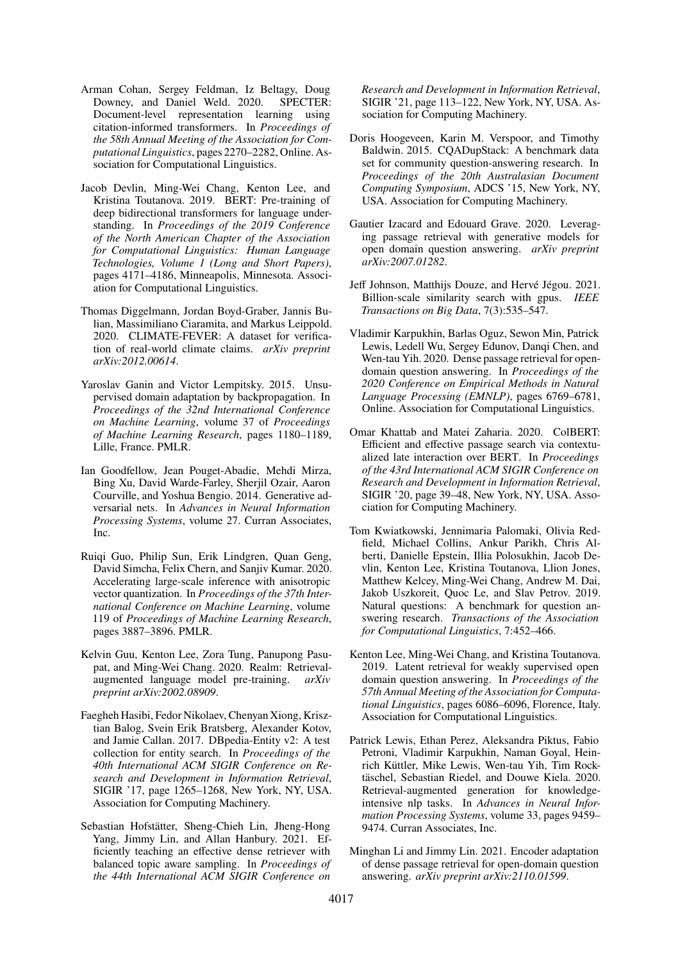- <span id="page-9-16"></span>Arman Cohan, Sergey Feldman, Iz Beltagy, Doug Downey, and Daniel Weld. 2020. SPECTER: Document-level representation learning using citation-informed transformers. In *Proceedings of the 58th Annual Meeting of the Association for Computational Linguistics*, pages 2270–2282, Online. Association for Computational Linguistics.
- <span id="page-9-6"></span>Jacob Devlin, Ming-Wei Chang, Kenton Lee, and Kristina Toutanova. 2019. BERT: Pre-training of deep bidirectional transformers for language understanding. In *Proceedings of the 2019 Conference of the North American Chapter of the Association for Computational Linguistics: Human Language Technologies, Volume 1 (Long and Short Papers)*, pages 4171–4186, Minneapolis, Minnesota. Association for Computational Linguistics.
- <span id="page-9-17"></span>Thomas Diggelmann, Jordan Boyd-Graber, Jannis Bulian, Massimiliano Ciaramita, and Markus Leippold. 2020. CLIMATE-FEVER: A dataset for verification of real-world climate claims. *arXiv preprint arXiv:2012.00614*.
- <span id="page-9-10"></span>Yaroslav Ganin and Victor Lempitsky. 2015. Unsupervised domain adaptation by backpropagation. In *Proceedings of the 32nd International Conference on Machine Learning*, volume 37 of *Proceedings of Machine Learning Research*, pages 1180–1189, Lille, France. PMLR.
- <span id="page-9-9"></span>Ian Goodfellow, Jean Pouget-Abadie, Mehdi Mirza, Bing Xu, David Warde-Farley, Sherjil Ozair, Aaron Courville, and Yoshua Bengio. 2014. Generative adversarial nets. In *Advances in Neural Information Processing Systems*, volume 27. Curran Associates, Inc.
- <span id="page-9-2"></span>Ruiqi Guo, Philip Sun, Erik Lindgren, Quan Geng, David Simcha, Felix Chern, and Sanjiv Kumar. 2020. Accelerating large-scale inference with anisotropic vector quantization. In *Proceedings of the 37th International Conference on Machine Learning*, volume 119 of *Proceedings of Machine Learning Research*, pages 3887–3896. PMLR.
- <span id="page-9-7"></span>Kelvin Guu, Kenton Lee, Zora Tung, Panupong Pasupat, and Ming-Wei Chang. 2020. Realm: Retrievalaugmented language model pre-training. *arXiv preprint arXiv:2002.08909*.
- <span id="page-9-14"></span>Faegheh Hasibi, Fedor Nikolaev, Chenyan Xiong, Krisztian Balog, Svein Erik Bratsberg, Alexander Kotov, and Jamie Callan. 2017. DBpedia-Entity v2: A test collection for entity search. In *Proceedings of the 40th International ACM SIGIR Conference on Research and Development in Information Retrieval*, SIGIR '17, page 1265–1268, New York, NY, USA. Association for Computing Machinery.
- <span id="page-9-12"></span>Sebastian Hofstätter, Sheng-Chieh Lin, Jheng-Hong Yang, Jimmy Lin, and Allan Hanbury. 2021. Efficiently teaching an effective dense retriever with balanced topic aware sampling. In *Proceedings of the 44th International ACM SIGIR Conference on*

*Research and Development in Information Retrieval*, SIGIR '21, page 113–122, New York, NY, USA. Association for Computing Machinery.

- <span id="page-9-15"></span>Doris Hoogeveen, Karin M. Verspoor, and Timothy Baldwin. 2015. CQADupStack: A benchmark data set for community question-answering research. In *Proceedings of the 20th Australasian Document Computing Symposium*, ADCS '15, New York, NY, USA. Association for Computing Machinery.
- <span id="page-9-5"></span>Gautier Izacard and Edouard Grave. 2020. Leveraging passage retrieval with generative models for open domain question answering. *arXiv preprint arXiv:2007.01282*.
- <span id="page-9-3"></span>Jeff Johnson, Matthijs Douze, and Hervé Jégou. 2021. Billion-scale similarity search with gpus. *IEEE Transactions on Big Data*, 7(3):535–547.
- <span id="page-9-1"></span>Vladimir Karpukhin, Barlas Oguz, Sewon Min, Patrick Lewis, Ledell Wu, Sergey Edunov, Danqi Chen, and Wen-tau Yih. 2020. Dense passage retrieval for opendomain question answering. In *Proceedings of the 2020 Conference on Empirical Methods in Natural Language Processing (EMNLP)*, pages 6769–6781, Online. Association for Computational Linguistics.
- <span id="page-9-13"></span>Omar Khattab and Matei Zaharia. 2020. ColBERT: Efficient and effective passage search via contextualized late interaction over BERT. In *Proceedings of the 43rd International ACM SIGIR Conference on Research and Development in Information Retrieval*, SIGIR '20, page 39–48, New York, NY, USA. Association for Computing Machinery.
- <span id="page-9-11"></span>Tom Kwiatkowski, Jennimaria Palomaki, Olivia Redfield, Michael Collins, Ankur Parikh, Chris Alberti, Danielle Epstein, Illia Polosukhin, Jacob Devlin, Kenton Lee, Kristina Toutanova, Llion Jones, Matthew Kelcey, Ming-Wei Chang, Andrew M. Dai, Jakob Uszkoreit, Quoc Le, and Slav Petrov. 2019. Natural questions: A benchmark for question answering research. *Transactions of the Association for Computational Linguistics*, 7:452–466.
- <span id="page-9-0"></span>Kenton Lee, Ming-Wei Chang, and Kristina Toutanova. 2019. Latent retrieval for weakly supervised open domain question answering. In *Proceedings of the 57th Annual Meeting of the Association for Computational Linguistics*, pages 6086–6096, Florence, Italy. Association for Computational Linguistics.
- <span id="page-9-4"></span>Patrick Lewis, Ethan Perez, Aleksandra Piktus, Fabio Petroni, Vladimir Karpukhin, Naman Goyal, Heinrich Küttler, Mike Lewis, Wen-tau Yih, Tim Rocktäschel, Sebastian Riedel, and Douwe Kiela. 2020. Retrieval-augmented generation for knowledgeintensive nlp tasks. In *Advances in Neural Information Processing Systems*, volume 33, pages 9459– 9474. Curran Associates, Inc.
- <span id="page-9-8"></span>Minghan Li and Jimmy Lin. 2021. Encoder adaptation of dense passage retrieval for open-domain question answering. *arXiv preprint arXiv:2110.01599*.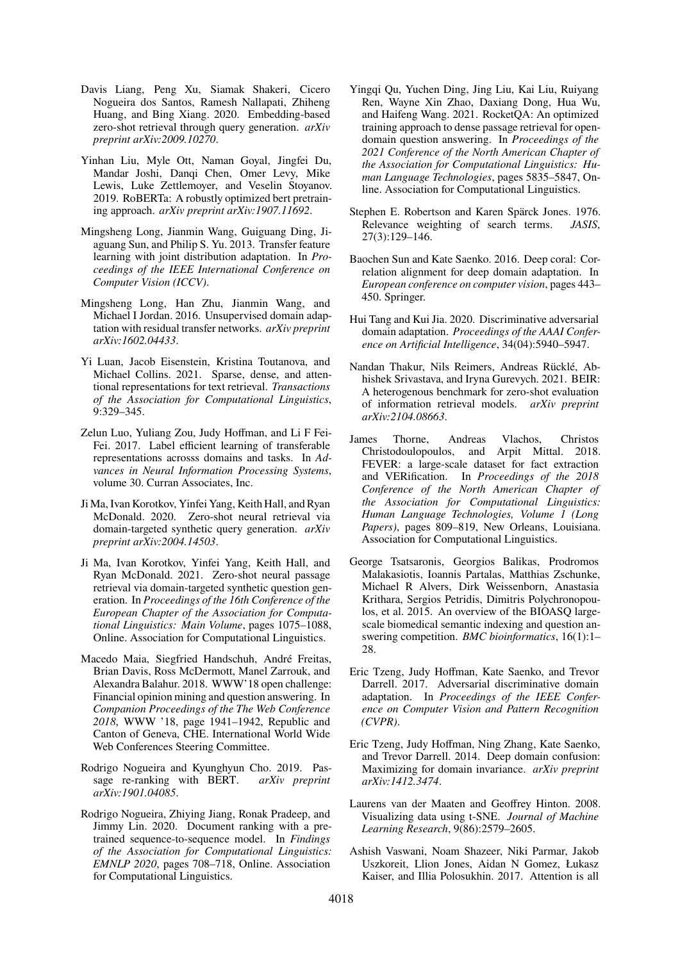- <span id="page-10-7"></span>Davis Liang, Peng Xu, Siamak Shakeri, Cicero Nogueira dos Santos, Ramesh Nallapati, Zhiheng Huang, and Bing Xiang. 2020. Embedding-based zero-shot retrieval through query generation. *arXiv preprint arXiv:2009.10270*.
- <span id="page-10-17"></span>Yinhan Liu, Myle Ott, Naman Goyal, Jingfei Du, Mandar Joshi, Danqi Chen, Omer Levy, Mike Lewis, Luke Zettlemoyer, and Veselin Stoyanov. 2019. RoBERTa: A robustly optimized bert pretraining approach. *arXiv preprint arXiv:1907.11692*.
- <span id="page-10-9"></span>Mingsheng Long, Jianmin Wang, Guiguang Ding, Jiaguang Sun, and Philip S. Yu. 2013. Transfer feature learning with joint distribution adaptation. In *Proceedings of the IEEE International Conference on Computer Vision (ICCV)*.
- <span id="page-10-15"></span>Mingsheng Long, Han Zhu, Jianmin Wang, and Michael I Jordan. 2016. Unsupervised domain adaptation with residual transfer networks. *arXiv preprint arXiv:1602.04433*.
- <span id="page-10-5"></span>Yi Luan, Jacob Eisenstein, Kristina Toutanova, and Michael Collins. 2021. Sparse, dense, and attentional representations for text retrieval. *Transactions of the Association for Computational Linguistics*, 9:329–345.
- <span id="page-10-13"></span>Zelun Luo, Yuliang Zou, Judy Hoffman, and Li F Fei-Fei. 2017. Label efficient learning of transferable representations acrosss domains and tasks. In *Advances in Neural Information Processing Systems*, volume 30. Curran Associates, Inc.
- <span id="page-10-16"></span>Ji Ma, Ivan Korotkov, Yinfei Yang, Keith Hall, and Ryan McDonald. 2020. Zero-shot neural retrieval via domain-targeted synthetic query generation. *arXiv preprint arXiv:2004.14503*.
- <span id="page-10-8"></span>Ji Ma, Ivan Korotkov, Yinfei Yang, Keith Hall, and Ryan McDonald. 2021. Zero-shot neural passage retrieval via domain-targeted synthetic question generation. In *Proceedings of the 16th Conference of the European Chapter of the Association for Computational Linguistics: Main Volume*, pages 1075–1088, Online. Association for Computational Linguistics.
- <span id="page-10-21"></span>Macedo Maia, Siegfried Handschuh, André Freitas, Brian Davis, Ross McDermott, Manel Zarrouk, and Alexandra Balahur. 2018. WWW'18 open challenge: Financial opinion mining and question answering. In *Companion Proceedings of the The Web Conference 2018*, WWW '18, page 1941–1942, Republic and Canton of Geneva, CHE. International World Wide Web Conferences Steering Committee.
- <span id="page-10-3"></span>Rodrigo Nogueira and Kyunghyun Cho. 2019. Passage re-ranking with BERT. *arXiv preprint arXiv:1901.04085*.
- <span id="page-10-18"></span>Rodrigo Nogueira, Zhiying Jiang, Ronak Pradeep, and Jimmy Lin. 2020. Document ranking with a pretrained sequence-to-sequence model. In *Findings of the Association for Computational Linguistics: EMNLP 2020*, pages 708–718, Online. Association for Computational Linguistics.
- <span id="page-10-6"></span>Yingqi Qu, Yuchen Ding, Jing Liu, Kai Liu, Ruiyang Ren, Wayne Xin Zhao, Daxiang Dong, Hua Wu, and Haifeng Wang. 2021. RocketQA: An optimized training approach to dense passage retrieval for opendomain question answering. In *Proceedings of the 2021 Conference of the North American Chapter of the Association for Computational Linguistics: Human Language Technologies*, pages 5835–5847, Online. Association for Computational Linguistics.
- <span id="page-10-1"></span>Stephen E. Robertson and Karen Spärck Jones. 1976. Relevance weighting of search terms. *JASIS*, 27(3):129–146.
- <span id="page-10-11"></span>Baochen Sun and Kate Saenko. 2016. Deep coral: Correlation alignment for deep domain adaptation. In *European conference on computer vision*, pages 443– 450. Springer.
- <span id="page-10-14"></span>Hui Tang and Kui Jia. 2020. Discriminative adversarial domain adaptation. *Proceedings of the AAAI Conference on Artificial Intelligence*, 34(04):5940–5947.
- <span id="page-10-0"></span>Nandan Thakur, Nils Reimers, Andreas Rücklé, Abhishek Srivastava, and Iryna Gurevych. 2021. BEIR: A heterogenous benchmark for zero-shot evaluation of information retrieval models. *arXiv preprint arXiv:2104.08663*.
- <span id="page-10-19"></span>James Thorne, Andreas Vlachos, Christos Christodoulopoulos, and Arpit Mittal. 2018. FEVER: a large-scale dataset for fact extraction and VERification. In *Proceedings of the 2018 Conference of the North American Chapter of the Association for Computational Linguistics: Human Language Technologies, Volume 1 (Long Papers)*, pages 809–819, New Orleans, Louisiana. Association for Computational Linguistics.
- <span id="page-10-20"></span>George Tsatsaronis, Georgios Balikas, Prodromos Malakasiotis, Ioannis Partalas, Matthias Zschunke, Michael R Alvers, Dirk Weissenborn, Anastasia Krithara, Sergios Petridis, Dimitris Polychronopoulos, et al. 2015. An overview of the BIOASQ largescale biomedical semantic indexing and question answering competition. *BMC bioinformatics*, 16(1):1– 28.
- <span id="page-10-12"></span>Eric Tzeng, Judy Hoffman, Kate Saenko, and Trevor Darrell. 2017. Adversarial discriminative domain adaptation. In *Proceedings of the IEEE Conference on Computer Vision and Pattern Recognition (CVPR)*.
- <span id="page-10-10"></span>Eric Tzeng, Judy Hoffman, Ning Zhang, Kate Saenko, and Trevor Darrell. 2014. Deep domain confusion: Maximizing for domain invariance. *arXiv preprint arXiv:1412.3474*.
- <span id="page-10-2"></span>Laurens van der Maaten and Geoffrey Hinton. 2008. Visualizing data using t-SNE. *Journal of Machine Learning Research*, 9(86):2579–2605.
- <span id="page-10-4"></span>Ashish Vaswani, Noam Shazeer, Niki Parmar, Jakob Uszkoreit, Llion Jones, Aidan N Gomez, Łukasz Kaiser, and Illia Polosukhin. 2017. Attention is all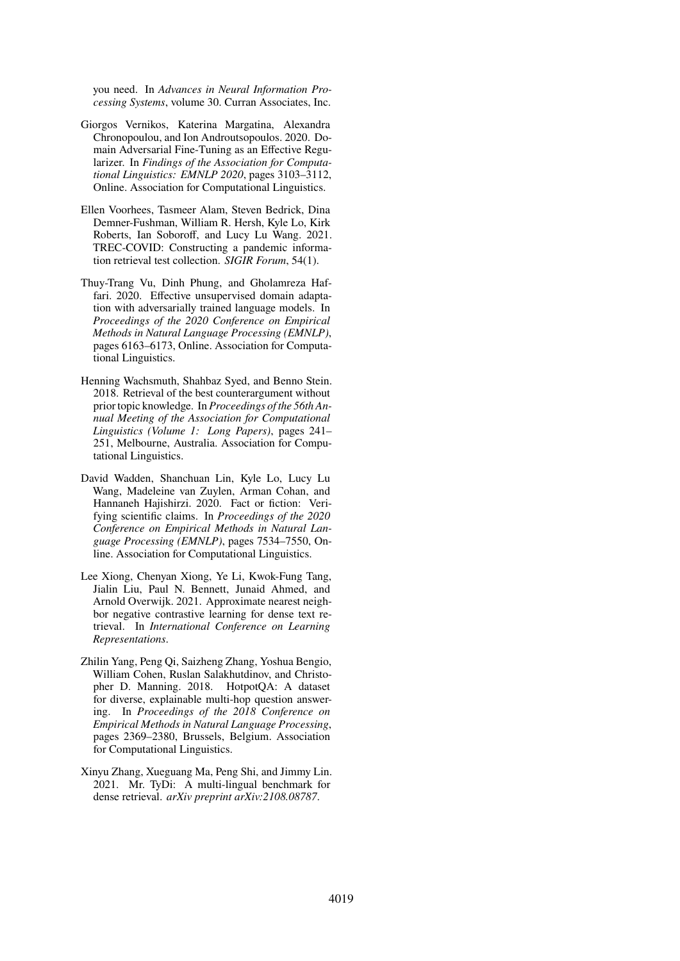you need. In *Advances in Neural Information Processing Systems*, volume 30. Curran Associates, Inc.

- <span id="page-11-4"></span>Giorgos Vernikos, Katerina Margatina, Alexandra Chronopoulou, and Ion Androutsopoulos. 2020. Domain Adversarial Fine-Tuning as an Effective Regularizer. In *Findings of the Association for Computational Linguistics: EMNLP 2020*, pages 3103–3112, Online. Association for Computational Linguistics.
- <span id="page-11-1"></span>Ellen Voorhees, Tasmeer Alam, Steven Bedrick, Dina Demner-Fushman, William R. Hersh, Kyle Lo, Kirk Roberts, Ian Soboroff, and Lucy Lu Wang. 2021. TREC-COVID: Constructing a pandemic information retrieval test collection. *SIGIR Forum*, 54(1).
- <span id="page-11-3"></span>Thuy-Trang Vu, Dinh Phung, and Gholamreza Haffari. 2020. Effective unsupervised domain adaptation with adversarially trained language models. In *Proceedings of the 2020 Conference on Empirical Methods in Natural Language Processing (EMNLP)*, pages 6163–6173, Online. Association for Computational Linguistics.
- <span id="page-11-6"></span>Henning Wachsmuth, Shahbaz Syed, and Benno Stein. 2018. Retrieval of the best counterargument without prior topic knowledge. In *Proceedings of the 56th Annual Meeting of the Association for Computational Linguistics (Volume 1: Long Papers)*, pages 241– 251, Melbourne, Australia. Association for Computational Linguistics.
- <span id="page-11-7"></span>David Wadden, Shanchuan Lin, Kyle Lo, Lucy Lu Wang, Madeleine van Zuylen, Arman Cohan, and Hannaneh Hajishirzi. 2020. Fact or fiction: Verifying scientific claims. In *Proceedings of the 2020 Conference on Empirical Methods in Natural Language Processing (EMNLP)*, pages 7534–7550, Online. Association for Computational Linguistics.
- <span id="page-11-0"></span>Lee Xiong, Chenyan Xiong, Ye Li, Kwok-Fung Tang, Jialin Liu, Paul N. Bennett, Junaid Ahmed, and Arnold Overwijk. 2021. Approximate nearest neighbor negative contrastive learning for dense text retrieval. In *International Conference on Learning Representations*.
- <span id="page-11-5"></span>Zhilin Yang, Peng Qi, Saizheng Zhang, Yoshua Bengio, William Cohen, Ruslan Salakhutdinov, and Christopher D. Manning. 2018. HotpotQA: A dataset for diverse, explainable multi-hop question answering. In *Proceedings of the 2018 Conference on Empirical Methods in Natural Language Processing*, pages 2369–2380, Brussels, Belgium. Association for Computational Linguistics.
- <span id="page-11-2"></span>Xinyu Zhang, Xueguang Ma, Peng Shi, and Jimmy Lin. 2021. Mr. TyDi: A multi-lingual benchmark for dense retrieval. *arXiv preprint arXiv:2108.08787*.